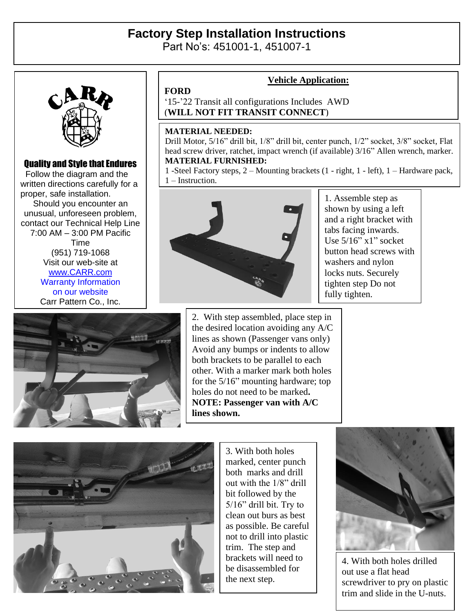# **Factory Step Installation Instructions**

Part No's: 451001-1, 451007-1



## Quality and Style that Endures

 Follow the diagram and the written directions carefully for a proper, safe installation. Should you encounter an unusual, unforeseen problem, contact our Technical Help Line 7:00 AM – 3:00 PM Pacific Time (951) 719-1068 Visit our web-site at [www.CARR.com](http://www.carr.com/) Warranty Information on our website Carr Pattern Co., Inc.

# **FORD**

## **Vehicle Application:**

'15-'22 Transit all configurations Includes AWD (**WILL NOT FIT TRANSIT CONNECT**)

### **MATERIAL NEEDED:**

Drill Motor, 5/16" drill bit, 1/8" drill bit, center punch, 1/2" socket, 3/8" socket, Flat head screw driver, ratchet, impact wrench (if available) 3/16" Allen wrench, marker. **MATERIAL FURNISHED:**

1 -Steel Factory steps, 2 – Mounting brackets (1 - right, 1 - left), 1 – Hardware pack, 1 – Instruction.



1. Assemble step as shown by using a left and a right bracket with tabs facing inwards. Use 5/16" x1" socket button head screws with washers and nylon locks nuts. Securely tighten step Do not fully tighten.



2. With step assembled, place step in the desired location avoiding any A/C lines as shown (Passenger vans only) Avoid any bumps or indents to allow both brackets to be parallel to each other. With a marker mark both holes for the 5/16" mounting hardware; top holes do not need to be marked**. NOTE: Passenger van with A/C lines shown.**



3. With both holes marked, center punch both marks and drill out with the 1/8" drill bit followed by the 5/16" drill bit. Try to clean out burs as best as possible. Be careful not to drill into plastic trim. The step and brackets will need to be disassembled for the next step.



4. With both holes drilled out use a flat head screwdriver to pry on plastic trim and slide in the U-nuts.